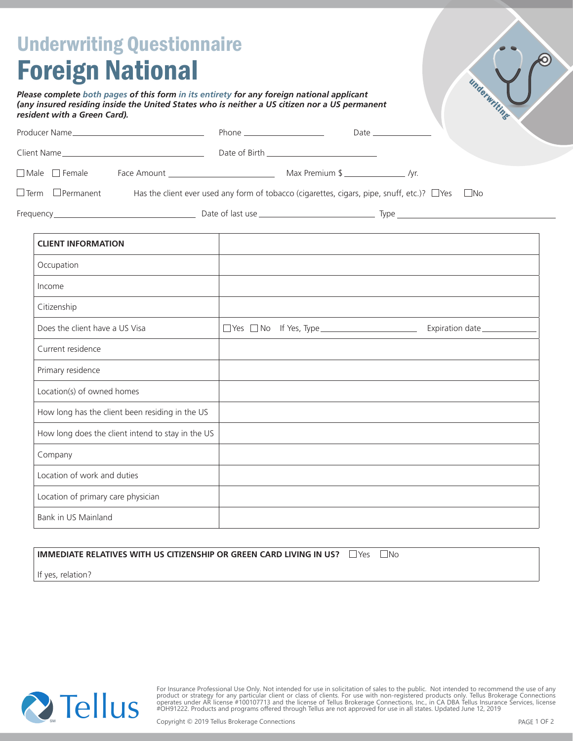| <b>Underwriting Questionnaire</b><br><b>Foreign National</b><br>Please complete both pages of this form in its entirety for any foreign national applicant<br>(any insured residing inside the United States who is neither a US citizen nor a US permanent<br>resident with a Green Card). |  | underwriting                                                                                                                                                                                                                  |
|---------------------------------------------------------------------------------------------------------------------------------------------------------------------------------------------------------------------------------------------------------------------------------------------|--|-------------------------------------------------------------------------------------------------------------------------------------------------------------------------------------------------------------------------------|
|                                                                                                                                                                                                                                                                                             |  |                                                                                                                                                                                                                               |
|                                                                                                                                                                                                                                                                                             |  |                                                                                                                                                                                                                               |
|                                                                                                                                                                                                                                                                                             |  |                                                                                                                                                                                                                               |
| $\Box$ Term $\Box$ Permanent                                                                                                                                                                                                                                                                |  | Has the client ever used any form of tobacco (cigarettes, cigars, pipe, snuff, etc.)? $\Box$ Yes $\Box$ No                                                                                                                    |
|                                                                                                                                                                                                                                                                                             |  |                                                                                                                                                                                                                               |
| <b>CLIENT INFORMATION</b>                                                                                                                                                                                                                                                                   |  |                                                                                                                                                                                                                               |
| Occupation                                                                                                                                                                                                                                                                                  |  |                                                                                                                                                                                                                               |
| Income                                                                                                                                                                                                                                                                                      |  |                                                                                                                                                                                                                               |
| Citizenship                                                                                                                                                                                                                                                                                 |  |                                                                                                                                                                                                                               |
| Does the client have a US Visa                                                                                                                                                                                                                                                              |  |                                                                                                                                                                                                                               |
| Current residence                                                                                                                                                                                                                                                                           |  | the control of the control of the control of the control of the control of the control of the control of the control of the control of the control of the control of the control of the control of the control of the control |
| Primary residence                                                                                                                                                                                                                                                                           |  |                                                                                                                                                                                                                               |
| Location(s) of owned homes                                                                                                                                                                                                                                                                  |  |                                                                                                                                                                                                                               |
| How long has the client been residing in the US                                                                                                                                                                                                                                             |  |                                                                                                                                                                                                                               |
| How long does the client intend to stay in the US                                                                                                                                                                                                                                           |  |                                                                                                                                                                                                                               |
| Company                                                                                                                                                                                                                                                                                     |  |                                                                                                                                                                                                                               |
| Location of work and duties                                                                                                                                                                                                                                                                 |  |                                                                                                                                                                                                                               |
| Location of primary care physician                                                                                                                                                                                                                                                          |  |                                                                                                                                                                                                                               |
| Bank in US Mainland                                                                                                                                                                                                                                                                         |  |                                                                                                                                                                                                                               |

## **IMMEDIATE RELATIVES WITH US CITIZENSHIP OR GREEN CARD LIVING IN US?**  $\Box$  Yes  $\Box$  No

If yes, relation?



For Insurance Professional Use Only. Not intended for use in solicitation of sales to the public. Not intended to recommend the use of any<br>product or strategy for any particular client or class of clients. For use with non